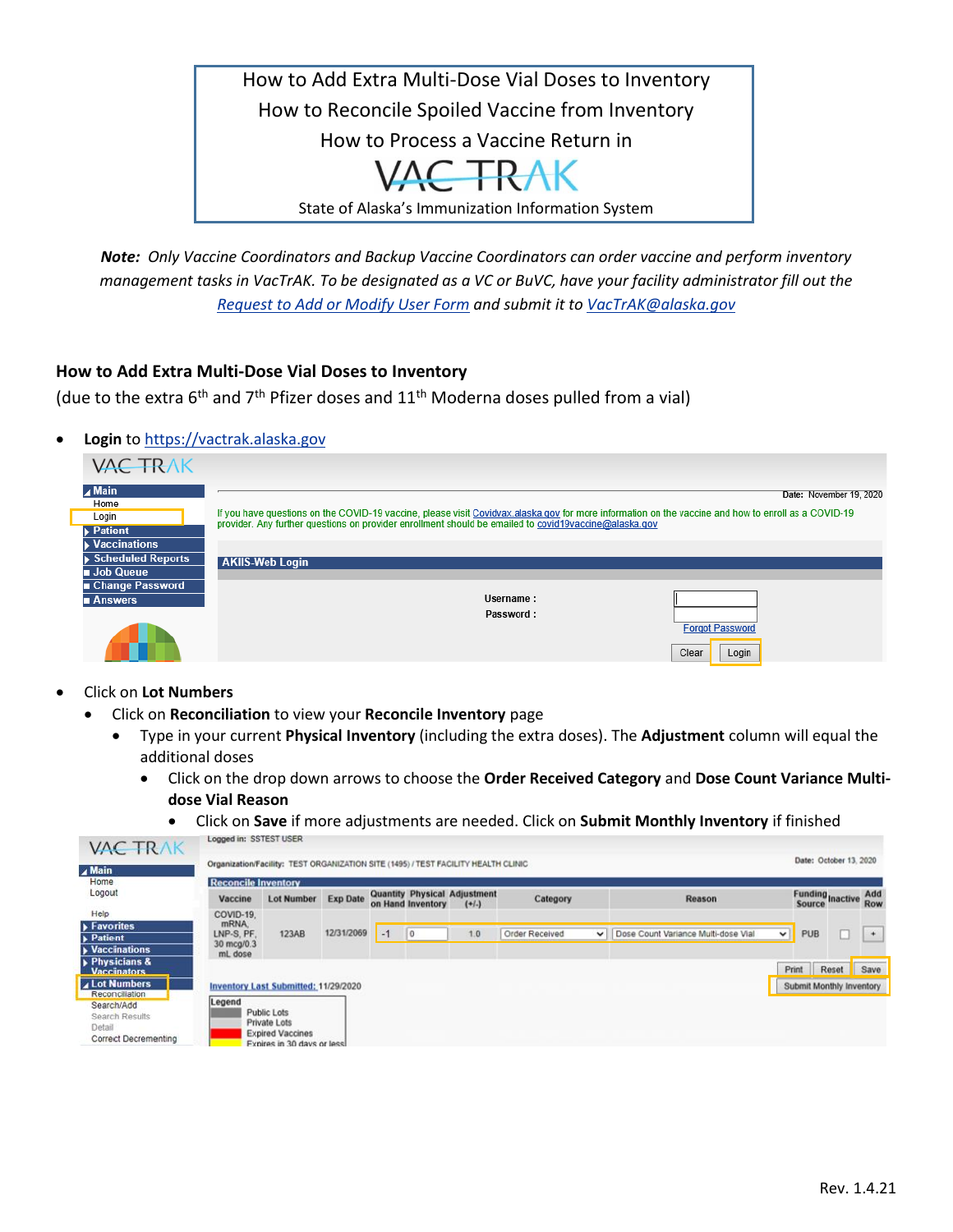

*Note: Only Vaccine Coordinators and Backup Vaccine Coordinators can order vaccine and perform inventory management tasks in VacTrAK. To be designated as a VC or BuVC, have your facility administrator fill out the [Request to Add or Modify User Form](mailto:Request%20to%20Add%20or%20Modify%20User%20Form) and submit it to [VacTrAK@alaska.gov](mailto:VacTrAK@alaska.gov)*

## **How to Add Extra Multi-Dose Vial Doses to Inventory**

(due to the extra 6<sup>th</sup> and 7<sup>th</sup> Pfizer doses and 11<sup>th</sup> Moderna doses pulled from a vial)

• **Login** to [https://vactrak.alaska.gov](https://vactrak.alaska.gov/)

| <b>VAC TRAK</b>                          |                                                                                                                                                                                                                                                              |
|------------------------------------------|--------------------------------------------------------------------------------------------------------------------------------------------------------------------------------------------------------------------------------------------------------------|
| $\blacktriangle$ Main                    | Date: November 19, 2020                                                                                                                                                                                                                                      |
| Home<br>Login                            | If you have questions on the COVID-19 vaccine, please visit Covidvax alaska gov for more information on the vaccine and how to enroll as a COVID-19<br>provider. Any further questions on provider enrollment should be emailed to covid19vaccine@alaska.gov |
| <b>Patient</b>                           |                                                                                                                                                                                                                                                              |
| <b>Vaccinations</b><br>Scheduled Reports | <b>AKIIS-Web Login</b>                                                                                                                                                                                                                                       |
| <b>Job Queue</b>                         |                                                                                                                                                                                                                                                              |
| ■ Change Password<br>■ Answers           | Username:                                                                                                                                                                                                                                                    |
|                                          | Password:                                                                                                                                                                                                                                                    |
|                                          | <b>Forgot Password</b>                                                                                                                                                                                                                                       |
|                                          | Clear<br>Login                                                                                                                                                                                                                                               |

- Click on **Lot Numbers**
	- Click on **Reconciliation** to view your **Reconcile Inventory** page
		- Type in your current **Physical Inventory** (including the extra doses). The **Adjustment** column will equal the additional doses
			- Click on the drop down arrows to choose the **Order Received Category** and **Dose Count Variance Multidose Vial Reason** 
				- Click on **Save** if more adjustments are needed. Click on **Submit Monthly Inventory** if finished

| <b>VAC TRAK</b>                                                                         |                                   |                                                                                       |                 |      |                   |                                               |                |              |                                     |             |                             |       |                   |
|-----------------------------------------------------------------------------------------|-----------------------------------|---------------------------------------------------------------------------------------|-----------------|------|-------------------|-----------------------------------------------|----------------|--------------|-------------------------------------|-------------|-----------------------------|-------|-------------------|
| $\blacktriangle$ Main                                                                   |                                   | Organization/Facility: TEST ORGANIZATION SITE (1495) / TEST FACILITY HEALTH CLINIC    |                 |      |                   |                                               |                |              |                                     |             | Date: October 13, 2020      |       |                   |
| Home                                                                                    | <b>Reconcile Inventory</b>        |                                                                                       |                 |      |                   |                                               |                |              |                                     |             |                             |       |                   |
| Logout                                                                                  | Vaccine                           | <b>Lot Number</b>                                                                     | <b>Exp Date</b> |      | on Hand Inventory | <b>Quantity Physical Adjustment</b><br>$(+1)$ | Category       |              | Reason                              |             | Funding<br>Source<br>Source |       | Add<br><b>Row</b> |
| <b>Help</b>                                                                             | COVID-19.                         |                                                                                       |                 |      |                   |                                               |                |              |                                     |             |                             |       |                   |
| $\blacktriangleright$ Favorites<br>Patient                                              | mRNA.<br>LNP-S, PF.<br>30 mcg/0.3 | 123AB                                                                                 | 12/31/2069      | $-1$ | $\overline{0}$    | 1.0                                           | Order Received | $\checkmark$ | Dose Count Variance Multi-dose Vial | $\check{~}$ | PUB                         |       | $\rightarrow$     |
| <b>Naccinations</b>                                                                     | mL dose                           |                                                                                       |                 |      |                   |                                               |                |              |                                     |             |                             |       |                   |
| Physicians &<br><b>Vaccinators</b>                                                      |                                   |                                                                                       |                 |      |                   |                                               |                |              |                                     |             | Print                       | Reset | Save              |
| <b>4 Lot Numbers</b>                                                                    |                                   | Inventory Last Submitted: 11/29/2020                                                  |                 |      |                   |                                               |                |              |                                     |             | Submit Monthly Inventory    |       |                   |
| Reconciliation<br>Search/Add<br>Search Results<br>Detail<br><b>Correct Decrementing</b> | Legend                            | Public Lots<br>Private Lots<br><b>Expired Vaccines</b><br>Expires in 30 days or less. |                 |      |                   |                                               |                |              |                                     |             |                             |       |                   |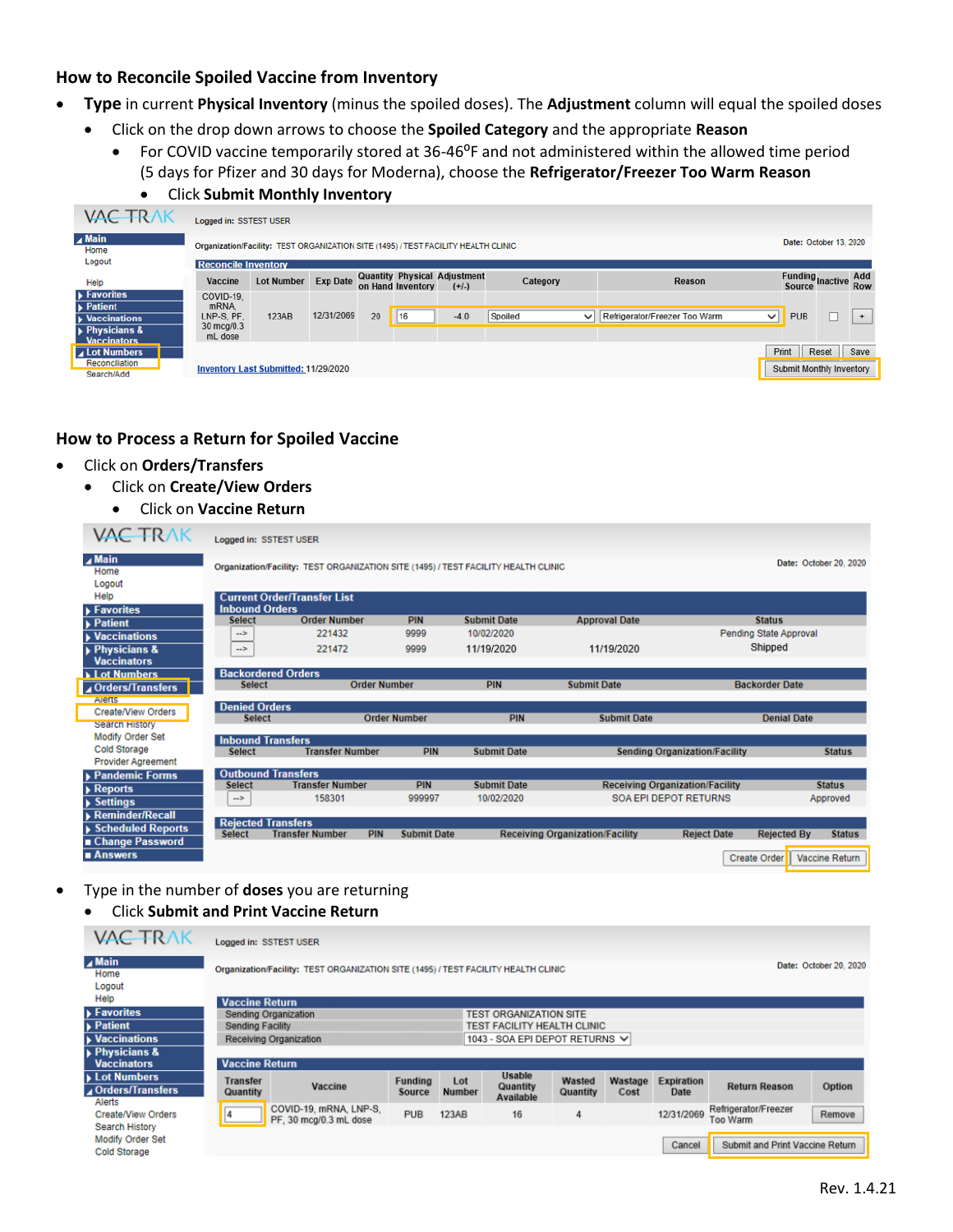## **How to Reconcile Spoiled Vaccine from Inventory**

- **Type** in current **Physical Inventory** (minus the spoiled doses). The **Adjustment** column will equal the spoiled doses
	- Click on the drop down arrows to choose the **Spoiled Category** and the appropriate **Reason** 
		- For COVID vaccine temporarily stored at 36-46<sup>o</sup>F and not administered within the allowed time period (5 days for Pfizer and 30 days for Moderna), choose the **Refrigerator/Freezer Too Warm Reason**
			- Click **Submit Monthly Inventory**

| <b>VAC TRAK</b>                                                  | Logged in: SSTEST USER                                                             |                                             |            |  |                   |                                                |          |    |        |        |                             |                        |                                 |                     |  |  |     |
|------------------------------------------------------------------|------------------------------------------------------------------------------------|---------------------------------------------|------------|--|-------------------|------------------------------------------------|----------|----|--------|--------|-----------------------------|------------------------|---------------------------------|---------------------|--|--|-----|
| $\blacktriangle$ Main<br>Home                                    | Organization/Facility: TEST ORGANIZATION SITE (1495) / TEST FACILITY HEALTH CLINIC |                                             |            |  |                   |                                                |          |    |        |        |                             | Date: October 13, 2020 |                                 |                     |  |  |     |
| Logout                                                           | <b>Reconcile Inventory</b>                                                         |                                             |            |  |                   |                                                |          |    |        |        |                             |                        |                                 |                     |  |  |     |
| Help                                                             | Vaccine                                                                            | Lot Number Exp Date                         |            |  | on Hand Inventory | <b>Quantity Physical Adjustment</b><br>$(+/-)$ | Category |    | Reason |        | Funding<br>Source<br>Source |                        | Add<br><b>Row</b>               |                     |  |  |     |
| $\blacktriangleright$ Favorites<br>$\blacktriangleright$ Patient | COVID-19.<br>mRNA.                                                                 |                                             |            |  |                   |                                                |          |    |        |        |                             |                        |                                 |                     |  |  |     |
| <b>Vaccinations</b>                                              | LNP-S, PF.<br>30 mcg/0.3                                                           | 123AB                                       | 12/31/2069 |  |                   |                                                |          | 20 | 16     | $-4.0$ | Spoiled                     |                        | V Refrigerator/Freezer Too Warm | PUB<br>$\checkmark$ |  |  | $+$ |
| <b>Physicians &amp;</b><br><b>Vaccinators</b>                    | mL dose                                                                            |                                             |            |  |                   |                                                |          |    |        |        |                             |                        |                                 |                     |  |  |     |
| ⊿ Lot Numbers                                                    |                                                                                    |                                             |            |  |                   |                                                |          |    |        |        | Print                       | Reset                  | Save                            |                     |  |  |     |
| Reconciliation<br>Search/Add                                     |                                                                                    | <b>Inventory Last Submitted: 11/29/2020</b> |            |  |                   |                                                |          |    |        |        | Submit Monthly Inventory    |                        |                                 |                     |  |  |     |

## **How to Process a Return for Spoiled Vaccine**

- Click on **Orders/Transfers**
	- Click on **Create/View Orders**

```
• Click on Vaccine Return
```

| <b>VAC TRAK</b>                                                     | <b>Logged in: SSTEST USER</b>              |                                                                                    |                     |                    |                                        |                                      |                               |                        |
|---------------------------------------------------------------------|--------------------------------------------|------------------------------------------------------------------------------------|---------------------|--------------------|----------------------------------------|--------------------------------------|-------------------------------|------------------------|
| $\blacktriangle$ Main<br>Home<br>Logout                             |                                            | Organization/Facility: TEST ORGANIZATION SITE (1495) / TEST FACILITY HEALTH CLINIC |                     |                    |                                        |                                      |                               | Date: October 20, 2020 |
| Help                                                                |                                            | <b>Current Order/Transfer List</b>                                                 |                     |                    |                                        |                                      |                               |                        |
| <b>Favorites</b>                                                    | <b>Inbound Orders</b><br><b>Select</b>     | <b>Order Number</b>                                                                | <b>PIN</b>          | <b>Submit Date</b> | <b>Approval Date</b>                   |                                      | <b>Status</b>                 |                        |
| $\blacktriangleright$ Patient<br>$\blacktriangleright$ Vaccinations | $\rightarrow$                              | 221432                                                                             | 9999                | 10/02/2020         |                                        |                                      | <b>Pending State Approval</b> |                        |
| Physicians &<br><b>Vaccinators</b>                                  | $\rightarrow$                              | 221472                                                                             | 9999                | 11/19/2020         | 11/19/2020                             |                                      | Shipped                       |                        |
| <b>Lot Numbers</b>                                                  | <b>Backordered Orders</b>                  |                                                                                    |                     |                    |                                        |                                      |                               |                        |
| ⊿Orders/Transfers                                                   | <b>Select</b>                              | <b>Order Number</b>                                                                |                     | PIN                | <b>Submit Date</b>                     |                                      | <b>Backorder Date</b>         |                        |
| Alerts                                                              | <b>Denied Orders</b>                       |                                                                                    |                     |                    |                                        |                                      |                               |                        |
| Create/View Orders<br><b>Search History</b>                         | <b>Select</b>                              |                                                                                    | <b>Order Number</b> | <b>PIN</b>         | <b>Submit Date</b>                     |                                      | <b>Denial Date</b>            |                        |
| Modify Order Set                                                    |                                            |                                                                                    |                     |                    |                                        |                                      |                               |                        |
| <b>Cold Storage</b>                                                 | <b>Inbound Transfers</b><br><b>Select</b>  | <b>Transfer Number</b>                                                             | <b>PIN</b>          | <b>Submit Date</b> |                                        | <b>Sending Organization/Facility</b> |                               | <b>Status</b>          |
| <b>Provider Agreement</b>                                           |                                            |                                                                                    |                     |                    |                                        |                                      |                               |                        |
| ▶ Pandemic Forms                                                    | <b>Outbound Transfers</b>                  |                                                                                    |                     |                    |                                        |                                      |                               |                        |
| $\triangleright$ Reports                                            | <b>Select</b>                              | <b>Transfer Number</b>                                                             | PIN                 | <b>Submit Date</b> | <b>Receiving Organization/Facility</b> |                                      |                               | <b>Status</b>          |
| $\rightarrow$ Settings                                              | $\rightarrow$                              | 158301                                                                             | 999997              | 10/02/2020         | <b>SOA EPI DEPOT RETURNS</b>           |                                      |                               | Approved               |
| <b>Reminder/Recall</b>                                              |                                            |                                                                                    |                     |                    |                                        |                                      |                               |                        |
| ▶ Scheduled Reports<br>Change Password                              | <b>Rejected Transfers</b><br><b>Select</b> | <b>PIN</b><br><b>Transfer Number</b>                                               | <b>Submit Date</b>  |                    | <b>Receiving Organization/Facility</b> | <b>Reject Date</b>                   | <b>Rejected By</b>            | <b>Status</b>          |
| ■ Answers                                                           |                                            |                                                                                    |                     |                    |                                        |                                      | <b>Create Order</b>           | Vaccine Return         |

- Type in the number of **doses** you are returning
	- Click **Submit and Print Vaccine Return**

| <b>VAC TRAK</b>                                    | Logged in: SSTEST USER                                                             |                                                  |                          |                      |                                 |                    |                 |                           |                                  |        |
|----------------------------------------------------|------------------------------------------------------------------------------------|--------------------------------------------------|--------------------------|----------------------|---------------------------------|--------------------|-----------------|---------------------------|----------------------------------|--------|
| $\blacktriangle$ Main<br>Home<br>Logout            | Organization/Facility: TEST ORGANIZATION SITE (1495) / TEST FACILITY HEALTH CLINIC |                                                  | Date: October 20, 2020   |                      |                                 |                    |                 |                           |                                  |        |
| Help                                               | <b>Vaccine Return</b>                                                              |                                                  |                          |                      |                                 |                    |                 |                           |                                  |        |
| <b>Favorites</b>                                   |                                                                                    | Sending Organization                             |                          |                      | <b>TEST ORGANIZATION SITE</b>   |                    |                 |                           |                                  |        |
| <b>▶ Patient</b>                                   | TEST FACILITY HEALTH CLINIC<br><b>Sending Facility</b>                             |                                                  |                          |                      |                                 |                    |                 |                           |                                  |        |
| $\blacktriangleright$ Vaccinations                 | 1043 - SOA EPI DEPOT RETURNS V<br>Receiving Organization                           |                                                  |                          |                      |                                 |                    |                 |                           |                                  |        |
| $\triangleright$ Physicians &                      |                                                                                    |                                                  |                          |                      |                                 |                    |                 |                           |                                  |        |
| <b>Vaccinators</b>                                 | <b>Vaccine Return</b>                                                              |                                                  |                          |                      |                                 |                    |                 |                           |                                  |        |
| Lot Numbers<br><b>A</b> Orders/Transfers<br>Alerts | Transfer<br>Quantity                                                               | Vaccine                                          | <b>Funding</b><br>Source | Lot<br><b>Number</b> | Usable<br>Quantity<br>Available | Wasted<br>Quantity | Wastage<br>Cost | <b>Expiration</b><br>Date | <b>Return Reason</b>             | Option |
| Create/View Orders<br><b>Search History</b>        |                                                                                    | COVID-19, mRNA, LNP-S,<br>PF, 30 mcg/0.3 mL dose | <b>PUB</b>               | 123AB                | 16                              | 4                  |                 | 12/31/2069                | Refrigerator/Freezer<br>Too Warm | Remove |
| Modify Order Set<br><b>Cold Storage</b>            |                                                                                    |                                                  |                          |                      |                                 |                    |                 | Cancel                    | Submit and Print Vaccine Return  |        |